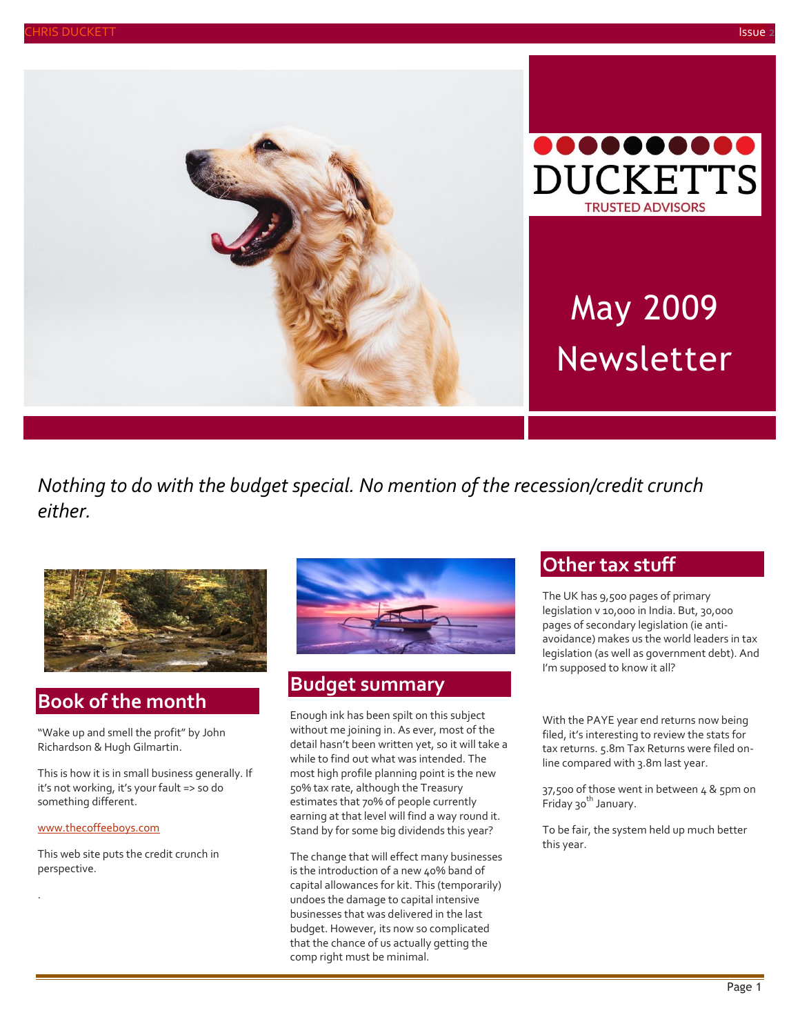



# May 2009 Newsletter

*Nothing to do with the budget special. No mention of the recession/credit crunch either.*



# **Book of the month**

"Wake up and smell the profit" by John Richardson & Hugh Gilmartin.

This is how it is in small business generally. If it's not working, it's your fault => so do something different.

[www.thecoffeeboys.com](http://www.thecoffeeboys.com/)

.

This web site puts the credit crunch in perspective.



#### **Budget summary**

Enough ink has been spilt on this subject without me joining in. As ever, most of the detail hasn't been written yet, so it will take a while to find out what was intended. The most high profile planning point is the new 50% tax rate, although the Treasury estimates that 70% of people currently earning at that level will find a way round it. Stand by for some big dividends this year?

The change that will effect many businesses is the introduction of a new 40% band of capital allowances for kit. This (temporarily) undoes the damage to capital intensive businesses that was delivered in the last budget. However, its now so complicated that the chance of us actually getting the comp right must be minimal.

## **Other tax stuff**

The UK has 9,500 pages of primary legislation v 10,000 in India. But, 30,000 pages of secondary legislation (ie antiavoidance) makes us the world leaders in tax legislation (as well as government debt). And I'm supposed to know it all?

With the PAYE year end returns now being filed, it's interesting to review the stats for tax returns. 5.8m Tax Returns were filed online compared with 3.8m last year.

37,500 of those went in between 4 & 5pm on Friday 30<sup>th</sup> January.

To be fair, the system held up much better this year.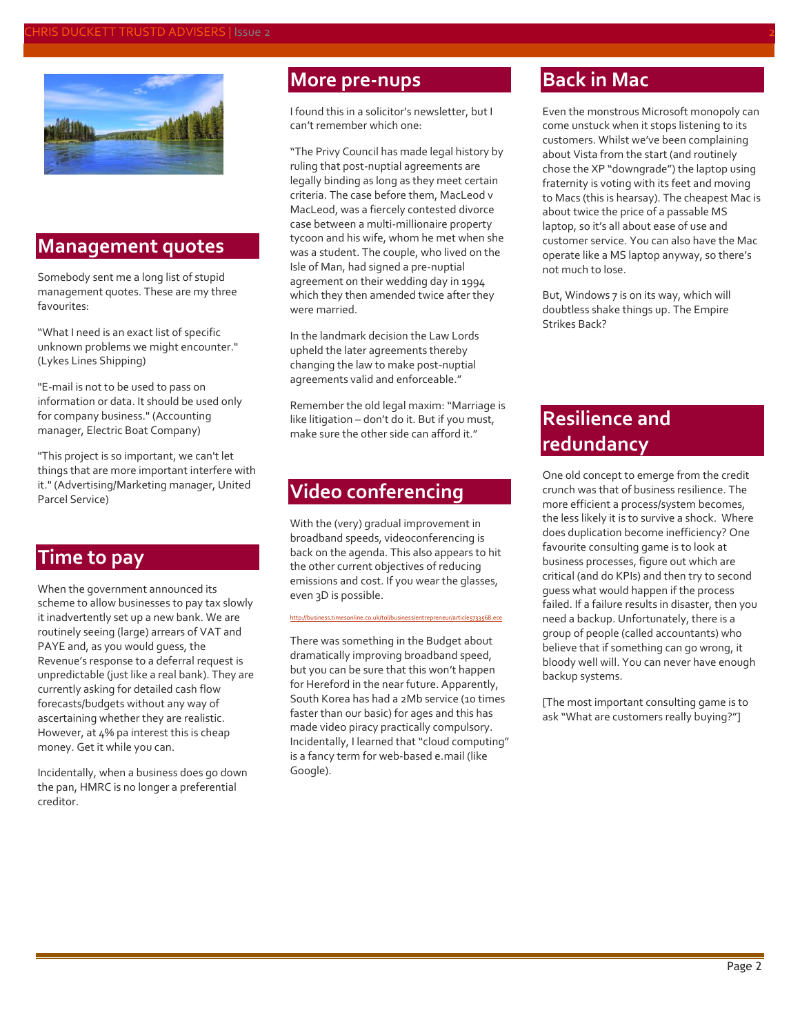

#### **Management quotes**

Somebody sent me a long list of stupid management quotes. These are my three favourites:

"What I need is an exact list of specific unknown problems we might encounter." (Lykes Lines Shipping)

"E-mail is not to be used to pass on information or data. It should be used only for company business." (Accounting manager, Electric Boat Company)

"This project is so important, we can't let things that are more important interfere with it." (Advertising/Marketing manager, United Parcel Service)

# **Time to pay**

When the government announced its scheme to allow businesses to pay tax slowly it inadvertently set up a new bank. We are routinely seeing (large) arrears of VAT and PAYE and, as you would guess, the Revenue's response to a deferral request is unpredictable (just like a real bank). They are currently asking for detailed cash flow forecasts/budgets without any way of ascertaining whether they are realistic. However, at 4% pa interest this is cheap money. Get it while you can.

Incidentally, when a business does go down the pan, HMRC is no longer a preferential creditor.

#### **More pre-nups**

I found this in a solicitor's newsletter, but I can't remember which one:

"The Privy Council has made legal history by ruling that post-nuptial agreements are legally binding as long as they meet certain criteria. The case before them, MacLeod v MacLeod, was a fiercely contested divorce case between a multi-millionaire property tycoon and his wife, whom he met when she was a student. The couple, who lived on the Isle of Man, had signed a pre-nuptial agreement on their wedding day in 1994 which they then amended twice after they were married.

In the landmark decision the Law Lords upheld the later agreements thereby changing the law to make post-nuptial agreements valid and enforceable."

Remember the old legal maxim: "Marriage is like litigation – don't do it. But if you must, make sure the other side can afford it."

# **Video conferencing**

With the (very) gradual improvement in broadband speeds, videoconferencing is back on the agenda. This also appears to hit the other current objectives of reducing emissions and cost. If you wear the glasses, even 3D is possible.

<http://business.timesonline.co.uk/tol/business/entrepreneur/article5733568.ece>

There was something in the Budget about dramatically improving broadband speed, but you can be sure that this won't happen for Hereford in the near future. Apparently, South Korea has had a 2Mb service (10 times faster than our basic) for ages and this has made video piracy practically compulsory. Incidentally, I learned that "cloud computing" is a fancy term for web-based e.mail (like Google).

# **Back in Mac**

Even the monstrous Microsoft monopoly can come unstuck when it stops listening to its customers. Whilst we've been complaining about Vista from the start (and routinely chose the XP "downgrade") the laptop using fraternity is voting with its feet and moving to Macs (this is hearsay). The cheapest Mac is about twice the price of a passable MS laptop, so it's all about ease of use and customer service. You can also have the Mac operate like a MS laptop anyway, so there's not much to lose.

But, Windows 7 is on its way, which will doubtless shake things up. The Empire Strikes Back?

# **Resilience and redundancy**

One old concept to emerge from the credit crunch was that of business resilience. The more efficient a process/system becomes, the less likely it is to survive a shock. Where does duplication become inefficiency? One favourite consulting game is to look at business processes, figure out which are critical (and do KPIs) and then try to second guess what would happen if the process failed. If a failure results in disaster, then you need a backup. Unfortunately, there is a group of people (called accountants) who believe that if something can go wrong, it bloody well will. You can never have enough backup systems.

[The most important consulting game is to ask "What are customers really buying?"]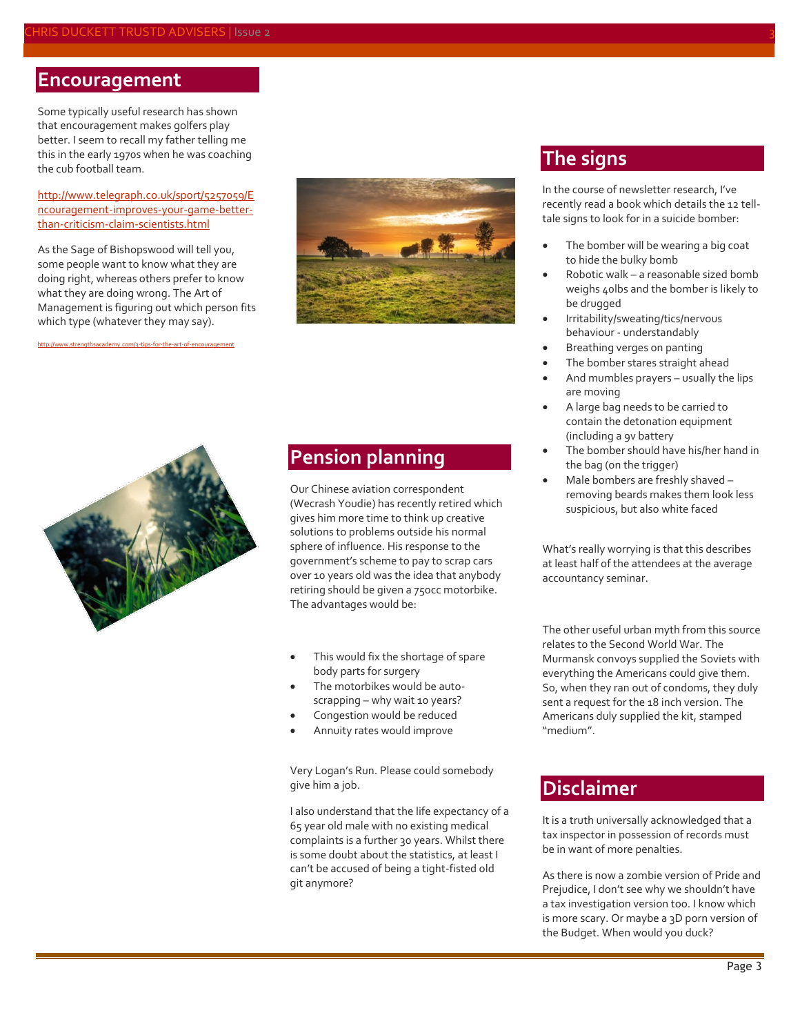#### **Encouragement**

Some typically useful research has shown that encouragement makes golfers play better. I seem to recall my father telling me this in the early 1970s when he was coaching the cub football team.

#### [http://www.telegraph.co.uk/sport/5257059/E](http://www.telegraph.co.uk/sport/5257059/Encouragement-improves-your-game-better-than-criticism-claim-scientists.html) [ncouragement-improves-your-game-better](http://www.telegraph.co.uk/sport/5257059/Encouragement-improves-your-game-better-than-criticism-claim-scientists.html)[than-criticism-claim-scientists.html](http://www.telegraph.co.uk/sport/5257059/Encouragement-improves-your-game-better-than-criticism-claim-scientists.html)

As the Sage of Bishopswood will tell you, some people want to know what they are doing right, whereas others prefer to know what they are doing wrong. The Art of Management is figuring out which person fits which type (whatever they may say).

<http://www.strengthsacademy.com/3-tips-for-the-art-of-encouragement>



#### **The signs**

In the course of newsletter research, I've recently read a book which details the 12 telltale signs to look for in a suicide bomber:

- The bomber will be wearing a big coat to hide the bulky bomb
- Robotic walk a reasonable sized bomb weighs 40lbs and the bomber is likely to be drugged
- Irritability/sweating/tics/nervous behaviour - understandably
- Breathing verges on panting
- The bomber stares straight ahead
- And mumbles prayers usually the lips are moving
- A large bag needs to be carried to contain the detonation equipment (including a 9v battery
- The bomber should have his/her hand in the bag (on the trigger)
- Male bombers are freshly shaved removing beards makes them look less suspicious, but also white faced

What's really worrying is that this describes at least half of the attendees at the average accountancy seminar.

The other useful urban myth from this source relates to the Second World War. The Murmansk convoys supplied the Soviets with everything the Americans could give them. So, when they ran out of condoms, they duly sent a request for the 18 inch version. The Americans duly supplied the kit, stamped "medium".

#### **Disclaimer**

It is a truth universally acknowledged that a tax inspector in possession of records must be in want of more penalties.

As there is now a zombie version of Pride and Prejudice, I don't see why we shouldn't have a tax investigation version too. I know which is more scary. Or maybe a 3D porn version of the Budget. When would you duck?



### **Pension planning**

Our Chinese aviation correspondent (Wecrash Youdie) has recently retired which gives him more time to think up creative solutions to problems outside his normal sphere of influence. His response to the government's scheme to pay to scrap cars over 10 years old was the idea that anybody retiring should be given a 750cc motorbike. The advantages would be:

# This would fix the shortage of spare

- body parts for surgery The motorbikes would be auto-
- scrapping why wait 10 years?
- Congestion would be reduced
- Annuity rates would improve

Very Logan's Run. Please could somebody give him a job.

I also understand that the life expectancy of a 65 year old male with no existing medical complaints is a further 30 years. Whilst there is some doubt about the statistics, at least I can't be accused of being a tight-fisted old git anymore?